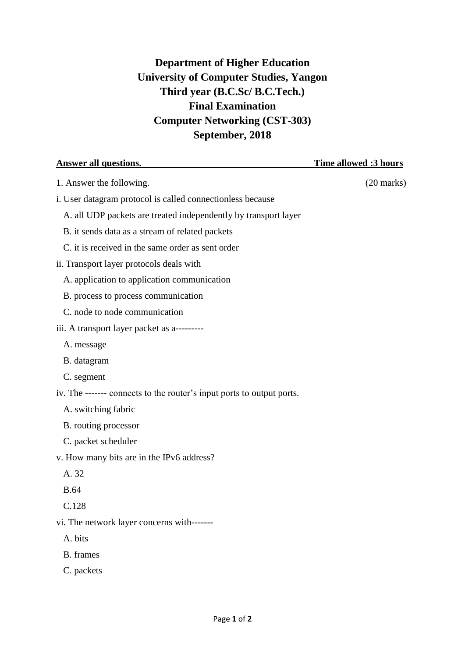## **Department of Higher Education University of Computer Studies, Yangon Third year (B.C.Sc/ B.C.Tech.) Final Examination Computer Networking (CST-303) September, 2018**

| <b>Answer all questions.</b>                                          | <b>Time allowed :3 hours</b> |
|-----------------------------------------------------------------------|------------------------------|
| 1. Answer the following.                                              | $(20 \text{ marks})$         |
| i. User datagram protocol is called connectionless because            |                              |
| A. all UDP packets are treated independently by transport layer       |                              |
| B. it sends data as a stream of related packets                       |                              |
| C. it is received in the same order as sent order                     |                              |
| ii. Transport layer protocols deals with                              |                              |
| A. application to application communication                           |                              |
| B. process to process communication                                   |                              |
| C. node to node communication                                         |                              |
| iii. A transport layer packet as a---------                           |                              |
| A. message                                                            |                              |
| B. datagram                                                           |                              |
| C. segment                                                            |                              |
| iv. The ------- connects to the router's input ports to output ports. |                              |
| A. switching fabric                                                   |                              |
| B. routing processor                                                  |                              |
| C. packet scheduler                                                   |                              |
| v. How many bits are in the IPv6 address?                             |                              |
| A. 32                                                                 |                              |
| <b>B.64</b>                                                           |                              |
| C.128                                                                 |                              |
| vi. The network layer concerns with-------                            |                              |
| A. bits                                                               |                              |
| B. frames                                                             |                              |
| C. packets                                                            |                              |